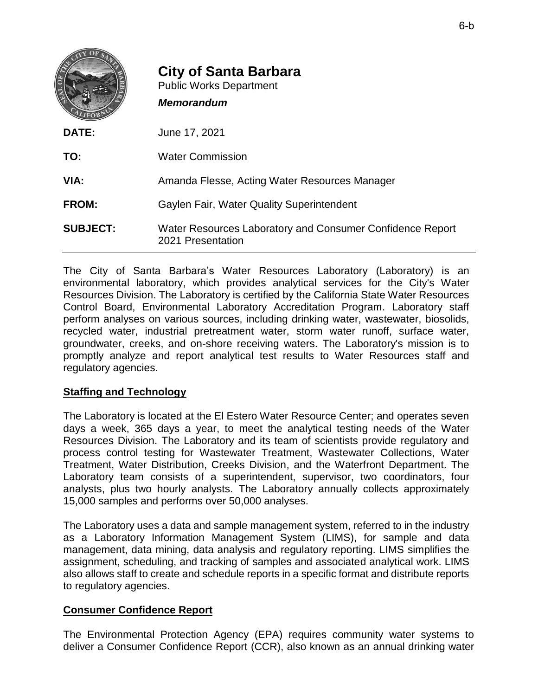|                 | <b>City of Santa Barbara</b><br><b>Public Works Department</b><br><b>Memorandum</b> |
|-----------------|-------------------------------------------------------------------------------------|
| DATE:           | June 17, 2021                                                                       |
| TO:             | <b>Water Commission</b>                                                             |
| VIA:            | Amanda Flesse, Acting Water Resources Manager                                       |
| <b>FROM:</b>    | <b>Gaylen Fair, Water Quality Superintendent</b>                                    |
| <b>SUBJECT:</b> | Water Resources Laboratory and Consumer Confidence Report<br>2021 Presentation      |

The City of Santa Barbara's Water Resources Laboratory (Laboratory) is an environmental laboratory, which provides analytical services for the City's Water Resources Division. The Laboratory is certified by the California State Water Resources Control Board, Environmental Laboratory Accreditation Program. Laboratory staff perform analyses on various sources, including drinking water, wastewater, biosolids, recycled water, industrial pretreatment water, storm water runoff, surface water, groundwater, creeks, and on-shore receiving waters. The Laboratory's mission is to promptly analyze and report analytical test results to Water Resources staff and regulatory agencies.

## **Staffing and Technology**

The Laboratory is located at the El Estero Water Resource Center; and operates seven days a week, 365 days a year, to meet the analytical testing needs of the Water Resources Division. The Laboratory and its team of scientists provide regulatory and process control testing for Wastewater Treatment, Wastewater Collections, Water Treatment, Water Distribution, Creeks Division, and the Waterfront Department. The Laboratory team consists of a superintendent, supervisor, two coordinators, four analysts, plus two hourly analysts. The Laboratory annually collects approximately 15,000 samples and performs over 50,000 analyses.

The Laboratory uses a data and sample management system, referred to in the industry as a Laboratory Information Management System (LIMS), for sample and data management, data mining, data analysis and regulatory reporting. LIMS simplifies the assignment, scheduling, and tracking of samples and associated analytical work. LIMS also allows staff to create and schedule reports in a specific format and distribute reports to regulatory agencies.

## **Consumer Confidence Report**

The Environmental Protection Agency (EPA) requires community water systems to deliver a Consumer Confidence Report (CCR), also known as an annual drinking water